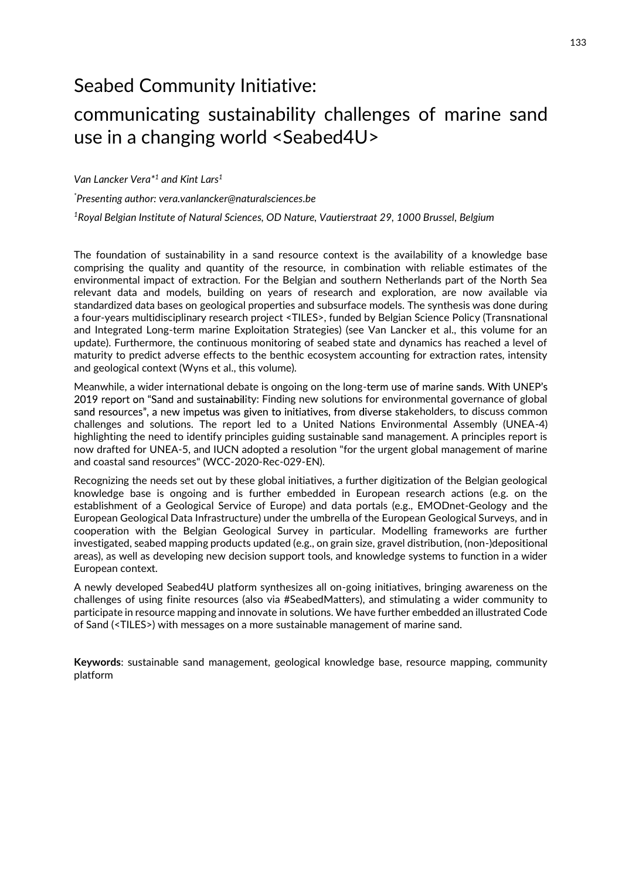## Seabed Community Initiative:

## communicating sustainability challenges of marine sand use in a changing world <Seabed4U>

Van Lancker Vera<sup>\*1</sup> and Kint Lars<sup>1</sup>

\*Presenting author: vera.vanlancker@naturalsciences.be

1Royal Belgian Institute of Natural Sciences, OD Nature, Vautierstraat 29, 1000 Brussel, Belgium

The foundation of sustainability in a sand resource context is the availability of a knowledge base comprising the quality and quantity of the resource, in combination with reliable estimates of the environmental impact of extraction. For the Belgian and southern Netherlands part of the North Sea relevant data and models, building on years of research and exploration, are now available via standardized data bases on geological properties and subsurface models. The synthesis was done during a four-years multidisciplinary research project <TILES>, funded by Belgian Science Policy (Transnational and Integrated Long-term marine Exploitation Strategies) (see Van Lancker et al., this volume for an update). Furthermore, the continuous monitoring of seabed state and dynamics has reached a level of maturity to predict adverse effects to the benthic ecosystem accounting for extraction rates, intensity and geological context (Wyns et al., this volume).

Meanwhile, a wider international debate is ongoing on the long-term use of marine sands. With UNEP's 2019 report on "Sand and sustainability: Finding new solutions for environmental governance of global sand resources", a new impetus was given to initiatives, from diverse stakeholders, to discuss common challenges and solutions. The report led to a United Nations Environmental Assembly (UNEA-4) highlighting the need to identify principles guiding sustainable sand management. A principles report is now drafted for UNEA-5, and IUCN adopted a resolution "for the urgent global management of marine and coastal sand resources" (WCC-2020-Rec-029-EN).

Recognizing the needs set out by these global initiatives, a further digitization of the Belgian geological knowledge base is ongoing and is further embedded in European research actions (e.g. on the establishment of a Geological Service of Europe) and data portals (e.g., EMODnet-Geology and the European Geological Data Infrastructure) under the umbrella of the European Geological Surveys, and in cooperation with the Belgian Geological Survey in particular. Modelling frameworks are further investigated, seabed mapping products updated (e.g., on grain size, gravel distribution, (non-)depositional areas), as well as developing new decision support tools, and knowledge systems to function in a wider European context.

A newly developed Seabed4U platform synthesizes all on-going initiatives, bringing awareness on the challenges of using finite resources (also via #SeabedMatters), and stimulating a wider community to participate in resource mapping and innovate in solutions. We have further embedded an illustrated Code of Sand (<TILES>) with messages on a more sustainable management of marine sand.

Keywords: sustainable sand management, geological knowledge base, resource mapping, community platform